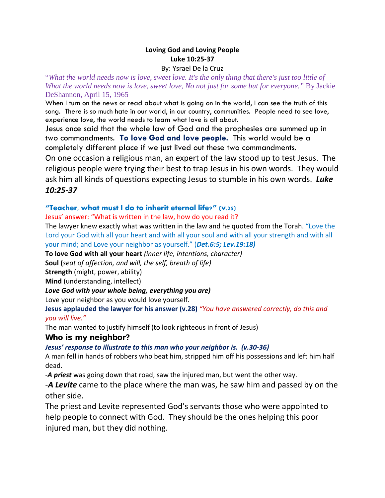# **Loving God and Loving People Luke 10:25-37**

#### By: Ysrael De la Cruz

"*What the world needs now is love, sweet love. It's the only thing that there's just too little of What the world needs now is love, sweet love, No not just for some but for everyone."* By Jackie DeShannon, April 15, 1965

When I turn on the news or read about what is going on in the world, I can see the truth of this song. There is so much hate in our world, in our country, communities. People need to see love, experience love, the world needs to learn what love is all about.

Jesus once said that the whole law of God and the prophesies are summed up in two commandments. **To love God and love people.** This world would be a completely different place if we just lived out these two commandments. On one occasion a religious man, an expert of the law stood up to test Jesus. The religious people were trying their best to trap Jesus in his own words. They would ask him all kinds of questions expecting Jesus to stumble in his own words. *Luke* 

## *10:25-37*

### **"Teacher, what must I do to inherit eternal life?" (v.25)**

Jesus' answer: "What is written in the law, how do you read it?

The lawyer knew exactly what was written in the law and he quoted from the Torah. "Love the Lord your God with all your heart and with all your soul and with all your strength and with all your mind; and Love your neighbor as yourself." (*Det.6:5; Lev.19:18)*

**To love God with all your heart** *(inner life, intentions, character)*

**Soul (***seat of affection, and will, the self, breath of life)*

**Strength** (might, power, ability)

**Mind** (understanding, intellect)

### *Love God with your whole being, everything you are)*

Love your neighbor as you would love yourself.

**Jesus applauded the lawyer for his answer (v.28)** *"You have answered correctly, do this and you will live."*

The man wanted to justify himself (to look righteous in front of Jesus)

### Who is my neighbor?

### *Jesus' response to illustrate to this man who your neighbor is. (v.30-36)*

A man fell in hands of robbers who beat him, stripped him off his possessions and left him half dead.

-*A priest* was going down that road, saw the injured man, but went the other way.

-*A Levite* came to the place where the man was, he saw him and passed by on the other side.

The priest and Levite represented God's servants those who were appointed to help people to connect with God. They should be the ones helping this poor injured man, but they did nothing.